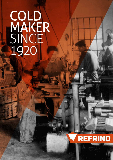# COLD MAKER SINCE<sup>1</sup> 1920

6à

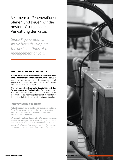Seit mehr als 3 Generationen planen und bauen wir die besten Lösungen zur Verwaltung der Kälte.

*Since 3 generations, we've been developing the best solutions of the menagement of cold.*

# von tradition her innovativ

**Wir sind nicht nur einfache Hersteller, sondern verstehen uns als wahrhaftige Partner unserer Kunden.** Tagtäglich reagieren wir sicher auf jede Anforderung mit gegliederten, kompakten oder noch zu erfindenden kundenspezifischen Lösungen.

**Wir verbinden handwerkliche Sensibilität mit dem Einsatz modernster Technologien.** Das ist genau das, was uns auszeichnet und was unsere Rolle in der industriellen Kältetechnik gefestigt hat. Wir zählen zu den maßgeblichsten Bezugspartnern in der Branche.

# innovative by tradition

*Not only manufacturer but true partner of our customer. Every day we answer with certainty to every requirement with structured and purpose made solutions, compact or with those yet to be invented.*

*We combine artisan touch with the use of the most modern technology. This is what distinguishes us and how we have managend to consolidate our role in industrial refrigerantion field, becoming the reference partner amongst the most authoritative in the market.*

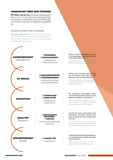# leidenschaft über dem standard

**Wir lieben, was wir tun.** Aus dieser Haltung heraus haben wir ein echtes Arbeitsmodell geschaffen, das seit jeher unsere Werte und unseren Planungsund Produktionsansatz mit Begeisterung geleitet hat.

## passion over the stndard

*We value what we do. With this attitude, we built up a true working model which has always led our values with enthusiasm as well as our approach to design and production.*

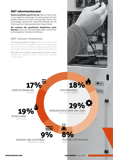# 360°-kältetechnologie

**Unsere Geschichte spricht für uns.** Was wir heute sind, ist das Ergebnis jahrelanger Zusammenarbeit mit den größten Akteuren auf dem internationalen Markt: eine zuverlässige, dynamische industrielle Realität, die die Erfahrung eines hochspezialisierten Teams bietet.

**Wir erfassen die spezifischen Bedürfnisse jeder Branche,** da wir uns mit industrieller Kälte und all ihren technologischen Variationen befassen.

# 360° cooling technology

*Our history speaks for itself. What we are today is the result of years working together with some of key players of the international market: a reliable, proactive reality which offers the experience of a highly specialized team.*

*We collect the specific requirements of every sector because we operate at every level of the industrial cooling system.*



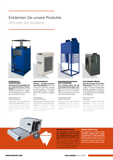# Entdecken Sie unsere Produkte.

*Discover our products.*



### industrielle klimaanlagen **Leistung und Zuverlässigkeit für die anspruchsvollsten Anwendungen:** hohe Temperaturen, hohe Staubkonzentrationen, aggressive Atmosphären, starke Vibrationen, Benutzerkomfort.

### industrial air conditioners

*Performance and reliability for heavy duty applications: extreme climate, high dust concentration, aggressive agents, high vibration and mechanical stress, user's comfort.*



### industriekühler **Wichtige Konfigurierbarkeits-**

**stufen und Optionen:** hohe thermostatische Stabilität, kompakte Abmessungen, verschiedene Schaltungslösungen, Kompatibilität mit speziellen Flüssigkeiten.

### **INDUSTRIAL REFRIGERATORS**

*Configuration and options for addressing the most varied requirements: high thermostatic stability, compact dimensions, various hydraulic solutions, compatibility with particular fluids.*



### druckbeaufschlagung und filtrierung

**Auf vertikaler Ebene alle Anwendungsanforderungen erfüllen:** hohe Staubkonzentrationen, aggressive Gase und Infiltrationskontrolle und das alles unter extremsten Bedingungen.

### pressurization and filtration

*Answer to any needs of implementation: high dust concentrations, aggressive gases, infiltration control, in the most extreme conditions.*



### luft-wasser-kühler **Spezielle Lösungen für den Wärmeaustausch:** kompakte Abmessungen, für mehrere Umgebungen geeignet, geringere Investitionsund Installationskosten, geringerer Energieverbrauch, Flexibilität in der Planung.

### air to water coolers

*Dedicated solutions for heat exchange: compact dimension, suitable for multiple contexts, low investment and installation costs, low energy consumption, design flexibility.*



### sonderanwendungen

**Wir unterstützen unsere Kunden mit Lösungen, die von der einfachen Anpassung bis zur rein kundenspezifischen Ausführung reichen.** Heute widmen wir 30% unserer Produktion der Realisierung innovativer Lösungen, die auf die unterschiedlichsten technischen / anwendungsbedingten Anforderungen eingehen können.

### special executions

*We support our customers with solutions ranging from simple customization to fully dedicated project.Today we dedicate 30% of our production to the creation of innovative solutions able to meet the most demanding requirements.*